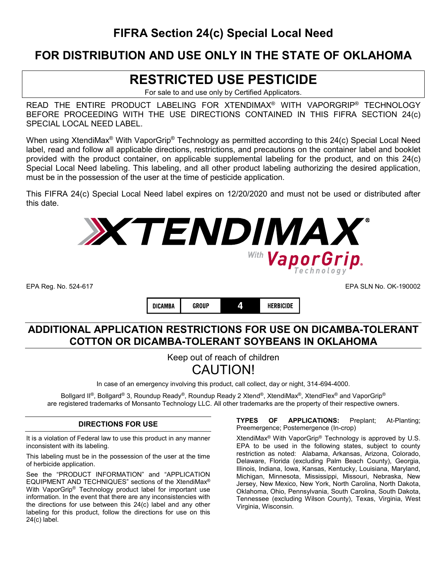# **FIFRA Section 24(c) Special Local Need**

### **FOR DISTRIBUTION AND USE ONLY IN THE STATE OF OKLAHOMA**

# **RESTRICTED USE PESTICIDE**

For sale to and use only by Certified Applicators.

READ THE ENTIRE PRODUCT LABELING FOR XTENDIMAX® WITH VAPORGRIP® TECHNOLOGY BEFORE PROCEEDING WITH THE USE DIRECTIONS CONTAINED IN THIS FIFRA SECTION 24(c) SPECIAL LOCAL NEED LABEL.

When using XtendiMax<sup>®</sup> With VaporGrip<sup>®</sup> Technology as permitted according to this 24(c) Special Local Need label, read and follow all applicable directions, restrictions, and precautions on the container label and booklet provided with the product container, on applicable supplemental labeling for the product, and on this 24(c) Special Local Need labeling. This labeling, and all other product labeling authorizing the desired application, must be in the possession of the user at the time of pesticide application.

This FIFRA 24(c) Special Local Need label expires on 12/20/2020 and must not be used or distributed after this date.



**GROUP** 4 **HERBICIDE** DICAMBA

EPA Reg. No. 524-617 EPA SLN No. OK-190002

### **ADDITIONAL APPLICATION RESTRICTIONS FOR USE ON DICAMBA-TOLERANT COTTON OR DICAMBA-TOLERANT SOYBEANS IN OKLAHOMA**

Keep out of reach of children CAUTION!

In case of an emergency involving this product, call collect, day or night, 314-694-4000.

Bollgard II®, Bollgard® 3, Roundup Ready®, Roundup Ready 2 Xtend®, XtendiMax®, XtendFlex® and VaporGrip® are registered trademarks of Monsanto Technology LLC. All other trademarks are the property of their respective owners.

### **DIRECTIONS FOR USE**

It is a violation of Federal law to use this product in any manner inconsistent with its labeling.

This labeling must be in the possession of the user at the time of herbicide application.

See the "PRODUCT INFORMATION" and "APPLICATION EQUIPMENT AND TECHNIQUES" sections of the XtendiMax® With VaporGrip® Technology product label for important use information. In the event that there are any inconsistencies with the directions for use between this 24(c) label and any other labeling for this product, follow the directions for use on this 24(c) label.

**TYPES OF APPLICATIONS:** Preplant; At-Planting; Preemergence; Postemergence (In-crop)

XtendiMax® With VaporGrip® Technology is approved by U.S. EPA to be used in the following states, subject to county restriction as noted: Alabama, Arkansas, Arizona, Colorado, Delaware, Florida (excluding Palm Beach County), Georgia, Illinois, Indiana, Iowa, Kansas, Kentucky, Louisiana, Maryland, Michigan, Minnesota, Mississippi, Missouri, Nebraska, New Jersey, New Mexico, New York, North Carolina, North Dakota, Oklahoma, Ohio, Pennsylvania, South Carolina, South Dakota, Tennessee (excluding Wilson County), Texas, Virginia, West Virginia, Wisconsin.